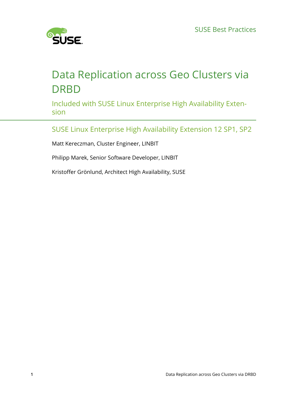

# Data Replication across Geo Clusters via **DRBD**

Included with SUSE Linux Enterprise High Availability Extension

SUSE Linux Enterprise High Availability Extension 12 SP1, SP2

Matt Kereczman, Cluster Engineer, LINBIT

Philipp Marek, Senior Software Developer, LINBIT

Kristoffer Grönlund, Architect High Availability, SUSE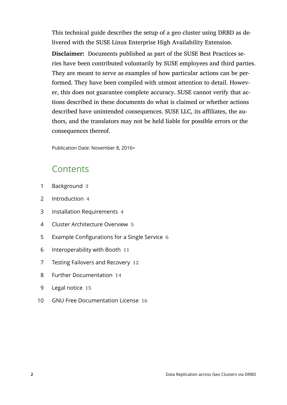This technical guide describes the setup of a geo cluster using DRBD as delivered with the SUSE Linux Enterprise High Availability Extension.

**Disclaimer:** Documents published as part of the SUSE Best Practices series have been contributed voluntarily by SUSE employees and third parties. They are meant to serve as examples of how particular actions can be performed. They have been compiled with utmost attention to detail. However, this does not guarantee complete accuracy. SUSE cannot verify that actions described in these documents do what is claimed or whether actions described have unintended consequences. SUSE LLC, its affiliates, the authors, and the translators may not be held liable for possible errors or the consequences thereof.

Publication Date: November 8, 2016>

## **Contents**

- [1](#page-2-0) [Background](#page-2-0) **3**
- [2](#page-3-0) [Introduction](#page-3-0) **4**
- [3](#page-3-1) Installation [Requirements](#page-3-1) **4**
- [4](#page-4-0) Cluster [Architecture](#page-4-0) Overview **5**
- [5](#page-5-0) Example [Configurations](#page-5-0) for a Single Service **6**
- [6](#page-10-0) [Interoperability](#page-10-0) with Booth **11**
- [7](#page-11-0) Testing Failovers and [Recovery](#page-11-0) **12**
- [8](#page-13-0) [Further Documentation](#page-13-0) **14**
- [9](#page-14-0) [Legal notice](#page-14-0) **15**
- [10](#page-15-0) GNU Free [Documentation](#page-15-0) License **16**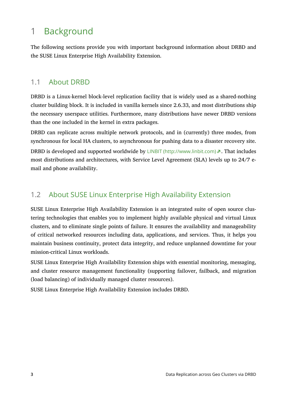# <span id="page-2-0"></span>1 Background

The following sections provide you with important background information about DRBD and the SUSE Linux Enterprise High Availability Extension.

## 1.1 About DRBD

DRBD is a Linux-kernel block-level replication facility that is widely used as a shared-nothing cluster building block. It is included in vanilla kernels since 2.6.33, and most distributions ship the necessary userspace utilities. Furthermore, many distributions have newer DRBD versions than the one included in the kernel in extra packages.

DRBD can replicate across multiple network protocols, and in (currently) three modes, from synchronous for local HA clusters, to asynchronous for pushing data to a disaster recovery site.

DRBD is developed and supported worldwide by  $L[NB]T$  (http://www.linbit.com) . That includes most distributions and architectures, with Service Level Agreement (SLA) levels up to 24/7 email and phone availability.

## 1.2 About SUSE Linux Enterprise High Availability Extension

SUSE Linux Enterprise High Availability Extension is an integrated suite of open source clustering technologies that enables you to implement highly available physical and virtual Linux clusters, and to eliminate single points of failure. It ensures the availability and manageability of critical networked resources including data, applications, and services. Thus, it helps you maintain business continuity, protect data integrity, and reduce unplanned downtime for your mission-critical Linux workloads.

SUSE Linux Enterprise High Availability Extension ships with essential monitoring, messaging, and cluster resource management functionality (supporting failover, failback, and migration (load balancing) of individually managed cluster resources).

SUSE Linux Enterprise High Availability Extension includes DRBD.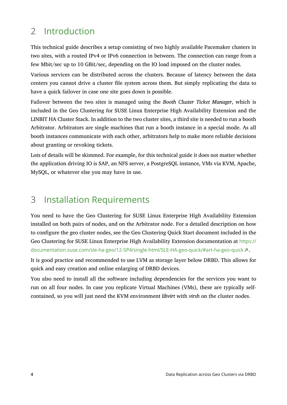# <span id="page-3-0"></span>2 Introduction

This technical guide describes a setup consisting of two highly available Pacemaker clusters in two sites, with a routed IPv4 or IPv6 connection in between. The connection can range from a few Mbit/sec up to 10 GBit/sec, depending on the IO load imposed on the cluster nodes.

Various services can be distributed across the clusters. Because of latency between the data centers you cannot drive a cluster file system across them. But simply replicating the data to have a quick failover in case one site goes down is possible.

Failover between the two sites is managed using the *Booth Cluster Ticket Manager*, which is included in the Geo Clustering for SUSE Linux Enterprise High Availability Extension and the LINBIT HA Cluster Stack. In addition to the two cluster sites, a third site is needed to run a booth Arbitrator. Arbitrators are single machines that run a booth instance in a special mode. As all booth instances communicate with each other, arbitrators help to make more reliable decisions about granting or revoking tickets.

Lots of details will be skimmed. For example, for this technical guide it does not matter whether the application driving IO is SAP, an NFS server, a PostgreSQL instance, VMs via KVM, Apache, MySQL, or whatever else you may have in use.

# <span id="page-3-1"></span>3 Installation Requirements

You need to have the Geo Clustering for SUSE Linux Enterprise High Availability Extension installed on both pairs of nodes, and on the Arbitrator node. For a detailed description on how to configure the geo cluster nodes, see the Geo Clustering Quick Start document included in the Geo Clustering for SUSE Linux Enterprise High Availability Extension documentation at [https://](https://documentation.suse.com/sle-ha-geo/12-SP4/single-html/SLE-HA-geo-quick/#art-ha-geo-quick) [documentation.suse.com/sle-ha-geo/12-SP4/single-html/SLE-HA-geo-quick/#art-ha-geo-quick](https://documentation.suse.com/sle-ha-geo/12-SP4/single-html/SLE-HA-geo-quick/#art-ha-geo-quick) 7.

It is good practice and recommended to use LVM as storage layer below DRBD. This allows for quick and easy creation and online enlarging of DRBD devices.

You also need to install all the software including dependencies for the services you want to run on all four nodes. In case you replicate Virtual Machines (VMs), these are typically selfcontained, so you will just need the KVM environment *libvirt* with *virsh* on the cluster nodes.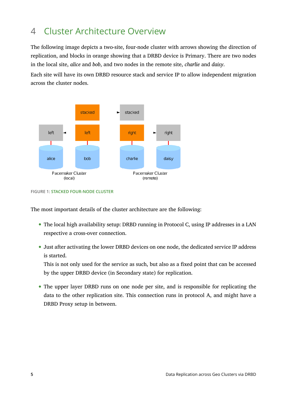# <span id="page-4-0"></span>4 Cluster Architecture Overview

The following image depicts a two-site, four-node cluster with arrows showing the direction of replication, and blocks in orange showing that a DRBD device is Primary. There are two nodes in the local site, *alice* and *bob*, and two nodes in the remote site, *charlie* and *daisy*.

Each site will have its own DRBD resource stack and service IP to allow independent migration across the cluster nodes.



**FIGURE 1: STACKED FOUR-NODE CLUSTER**

The most important details of the cluster architecture are the following:

- The local high availability setup: DRBD running in Protocol C, using IP addresses in a LAN respective a cross-over connection.
- Just after activating the lower DRBD devices on one node, the dedicated service IP address is started.

This is not only used for the service as such, but also as a fixed point that can be accessed by the upper DRBD device (in Secondary state) for replication.

The upper layer DRBD runs on one node per site, and is responsible for replicating the data to the other replication site. This connection runs in protocol A, and might have a DRBD Proxy setup in between.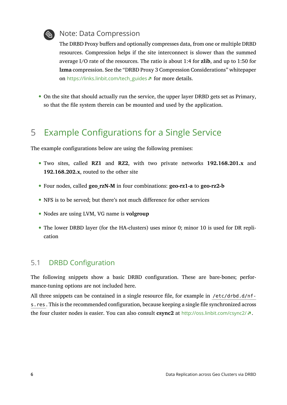

### Note: Data Compression

The DRBD Proxy buffers and optionally compresses data, from one or multiple DRBD resources. Compression helps if the site interconnect is slower than the summed average I/O rate of the resources. The ratio is about 1:4 for **zlib**, and up to 1:50 for **lzma** compression. See the "DRBD Proxy 3 Compression Considerations" whitepaper on [https://links.linbit.com/tech\\_guides](https://links.linbit.com/tech_guides) **A** for more details.

<span id="page-5-0"></span>On the site that should actually run the service, the upper layer DRBD gets set as Primary, so that the file system therein can be mounted and used by the application.

# 5 Example Configurations for a Single Service

The example configurations below are using the following premises:

- Two sites, called **RZ1** and **RZ2**, with two private networks **192.168.201.x** and **192.168.202.x**, routed to the other site
- Four nodes, called **geo\_rzN-M** in four combinations: **geo-rz1-a** to **geo-rz2-b**
- NFS is to be served; but there's not much difference for other services
- Nodes are using LVM, VG name is **volgroup**
- The lower DRBD layer (for the HA-clusters) uses minor 0; minor 10 is used for DR replication

## 5.1 DRBD Configuration

The following snippets show a basic DRBD configuration. These are bare-bones; performance-tuning options are not included here.

All three snippets can be contained in a single resource file, for example in /etc/drbd.d/nfs. res. This is the recommended configuration, because keeping a single file synchronized across the four cluster nodes is easier. You can also consult **csync2** at <http://oss.linbit.com/csync2/> **7.**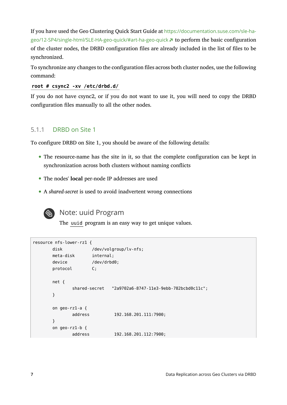If you have used the Geo Clustering Quick Start Guide at [https://documentation.suse.com/sle-ha](https://documentation.suse.com/sle-ha-geo/12-SP4/single-html/SLE-HA-geo-quick/#art-ha-geo-quick)[geo/12-SP4/single-html/SLE-HA-geo-quick/#art-ha-geo-quick](https://documentation.suse.com/sle-ha-geo/12-SP4/single-html/SLE-HA-geo-quick/#art-ha-geo-quick) **1** to perform the basic configuration of the cluster nodes, the DRBD configuration files are already included in the list of files to be synchronized.

To synchronize any changes to the configuration files across both cluster nodes, use the following command:

### **root # csync2 -xv /etc/drbd.d/**

If you do not have csync2, or if you do not want to use it, you will need to copy the DRBD configuration files manually to all the other nodes.

### 5.1.1 DRBD on Site 1

To configure DRBD on Site 1, you should be aware of the following details:

- The resource-name has the site in it, so that the complete configuration can be kept in synchronization across both clusters without naming conflicts
- The nodes' **local** per-node IP addresses are used
- A *shared-secret* is used to avoid inadvertent wrong connections



## Note: uuid Program

The uuid program is an easy way to get unique values.

```
resource nfs-lower-rz1 {
      disk /dev/volgroup/lv-nfs;
       meta-disk internal;
      device /dev/drbd0;
       protocol C;
       net {
              shared-secret "2a9702a6-8747-11e3-9ebb-782bcbd0c11c";
       }
       on geo-rz1-a {
              address 192.168.201.111:7900;
       }
       on geo-rz1-b {
              address 192.168.201.112:7900;
```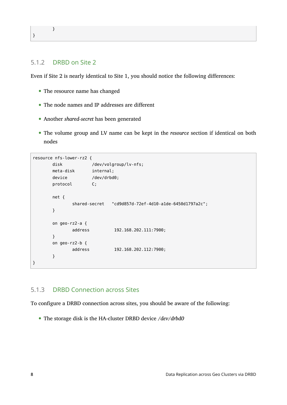### }

}

### 5.1.2 DRBD on Site 2

Even if Site 2 is nearly identical to Site 1, you should notice the following differences:

- The resource name has changed
- The node names and IP addresses are different
- Another *shared-secret* has been generated
- The volume group and LV name can be kept in the *resource* section if identical on both nodes

```
resource nfs-lower-rz2 {
       disk /dev/volgroup/lv-nfs;
        meta-disk internal;
       device /dev/drbd0;
        protocol C;
        net {
               shared-secret "cd9d857d-72ef-4d10-a1de-6450d1797a2c";
        }
        on geo-rz2-a {
               address 192.168.202.111:7900;
        }
        on geo-rz2-b {
               address 192.168.202.112:7900;
        }
}
```
### 5.1.3 DRBD Connection across Sites

To configure a DRBD connection across sites, you should be aware of the following:

The storage disk is the HA-cluster DRBD device */dev/drbd0*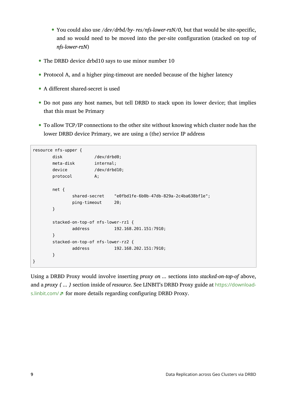- You could also use */dev/drbd/by- res/nfs-lower-rzN/0*, but that would be site-specific, and so would need to be moved into the per-site configuration (stacked on top of *nfs-lower-rzN*)
- The DRBD device drbd10 says to use minor number 10
- Protocol A, and a higher ping-timeout are needed because of the higher latency
- A different shared-secret is used
- Do not pass any host names, but tell DRBD to stack upon its lower device; that implies that this must be Primary
- To allow TCP/IP connections to the other site without knowing which cluster node has the lower DRBD device Primary, we are using a (the) service IP address

```
resource nfs-upper {
      disk /dev/drbd0;
       meta-disk internal;
       device /dev/drbd10;
        protocol A;
       net {
              shared-secret "e0fbd1fe-6b0b-47db-829a-2c4ba638bf1e";
              ping-timeout 20;
       }
        stacked-on-top-of nfs-lower-rz1 {
              address 192.168.201.151:7910;
        }
       stacked-on-top-of nfs-lower-rz2 {
              address 192.168.202.151:7910;
       }
}
```
Using a DRBD Proxy would involve inserting *proxy on ...* sections into *stacked-on-top-of* above, and a *proxy { ... }* section inside of *resource*. See LINBIT's DRBD Proxy guide at [https://download](https://downloads.linbit.com/)[s.linbit.com/](https://downloads.linbit.com/) **F** for more details regarding configuring DRBD Proxy.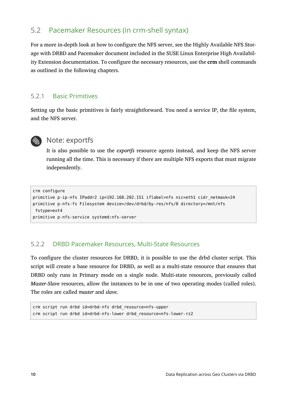## 5.2 Pacemaker Resources (in crm-shell syntax)

For a more in-depth look at how to configure the NFS server, see the Highly Available NFS Storage with DRBD and Pacemaker document included in the SUSE Linux Enterprise High Availability Extension documentation. To configure the necessary resources, use the **crm** shell commands as outlined in the following chapters.

### 5.2.1 Basic Primitives

Setting up the basic primitives is fairly straightforward. You need a service IP, the file system, and the NFS server.



### **Note: exportfs**

It is also possible to use the *exportfs* resource agents instead, and keep the NFS server running all the time. This is necessary if there are multiple NFS exports that must migrate independently.

```
crm configure
primitive p-ip-nfs IPaddr2 ip=192.168.202.151 iflabel=nfs nic=eth1 cidr_netmask=24
primitive p-nfs-fs Filesystem device=/dev/drbd/by-res/nfs/0 directory=/mnt/nfs
 fstype=ext4
primitive p-nfs-service systemd:nfs-server
```
### 5.2.2 DRBD Pacemaker Resources, Multi-State Resources

To configure the cluster resources for DRBD, it is possible to use the drbd cluster script. This script will create a base resource for DRBD, as well as a multi-state resource that ensures that DRBD only runs in Primary mode on a single node. Multi-state resources, previously called *Master-Slave* resources, allow the instances to be in one of two operating modes (called roles). The roles are called *master* and *slave*.

```
crm script run drbd id=drbd-nfs drbd_resource=nfs-upper
crm script run drbd id=drbd-nfs-lower drbd_resource=nfs-lower-rz2
```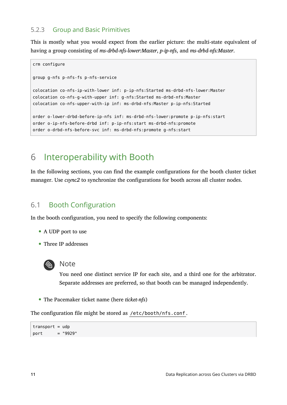### 5.2.3 Group and Basic Primitives

This is mostly what you would expect from the earlier picture: the multi-state equivalent of having a group consisting of *ms-drbd-nfs-lower:Master*, *p-ip-nfs*, and *ms-drbd-nfs:Master*.

```
crm configure
group g-nfs p-nfs-fs p-nfs-service
colocation co-nfs-ip-with-lower inf: p-ip-nfs:Started ms-drbd-nfs-lower:Master
colocation co-nfs-g-with-upper inf: g-nfs:Started ms-drbd-nfs:Master
colocation co-nfs-upper-with-ip inf: ms-drbd-nfs:Master p-ip-nfs:Started
order o-lower-drbd-before-ip-nfs inf: ms-drbd-nfs-lower:promote p-ip-nfs:start
order o-ip-nfs-before-drbd inf: p-ip-nfs:start ms-drbd-nfs:promote
order o-drbd-nfs-before-svc inf: ms-drbd-nfs:promote g-nfs:start
```
# <span id="page-10-0"></span>6 Interoperability with Booth

In the following sections, you can find the example configurations for the booth cluster ticket manager. Use *csync2* to synchronize the configurations for booth across all cluster nodes.

## 6.1 Booth Configuration

In the booth configuration, you need to specify the following components:

- A UDP port to use
- Three IP addresses



### Note

You need one distinct service IP for each site, and a third one for the arbitrator. Separate addresses are preferred, so that booth can be managed independently.

The Pacemaker ticket name (here *ticket-nfs*)

The configuration file might be stored as /etc/booth/nfs.conf.

```
transport = udpport = "9929"
```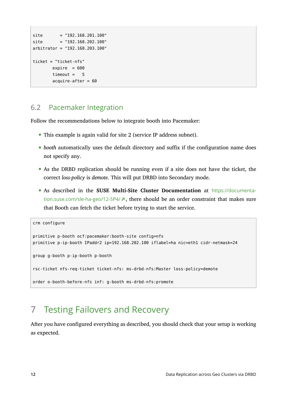```
site = "192.168.201.100"
site = "192.168.202.100"
arbitrator = "192.168.203.100"
ticket = "ticket-nfs"
       expire = 600timeout = 5acquire-after = 60
```
## 6.2 Pacemaker Integration

Follow the recommendations below to integrate booth into Pacemaker:

- This example is again valid for site 2 (service IP address subnet).
- *booth* automatically uses the default directory and suffix if the configuration name does not specify any.
- As the DRBD replication should be running even if a site does not have the ticket, the correct *loss-policy* is *demote*. This will put DRBD into Secondary mode.
- As described in the **SUSE Multi-Site Cluster Documentation** at [https://documenta](https://documentation.suse.com/sle-ha-geo/12-SP4/)[tion.suse.com/sle-ha-geo/12-SP4/](https://documentation.suse.com/sle-ha-geo/12-SP4/) $\pi$ , there should be an order constraint that makes sure that Booth can fetch the ticket before trying to start the service.

```
crm configure
primitive p-booth ocf:pacemaker:booth-site config=nfs
primitive p-ip-booth IPaddr2 ip=192.168.202.100 iflabel=ha nic=eth1 cidr-netmask=24
group g-booth p-ip-booth p-booth
rsc-ticket nfs-req-ticket ticket-nfs: ms-drbd-nfs:Master loss-policy=demote
order o-booth-before-nfs inf: g-booth ms-drbd-nfs:promote
```
# <span id="page-11-0"></span>7 Testing Failovers and Recovery

After you have configured everything as described, you should check that your setup is working as expected.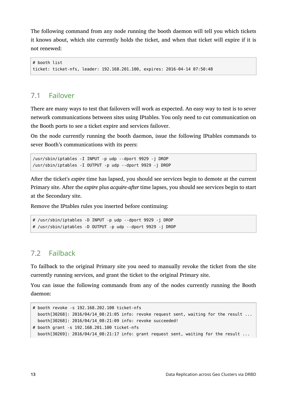The following command from any node running the booth daemon will tell you which tickets it knows about, which site currently holds the ticket, and when that ticket will expire if it is not renewed:

```
# booth list
ticket: ticket-nfs, leader: 192.168.201.100, expires: 2016-04-14 07:50:48
```
### 7.1 Failover

There are many ways to test that failovers will work as expected. An easy way to test is to sever network communications between sites using IPtables. You only need to cut communication on the Booth ports to see a ticket expire and services failover.

On the node currently running the booth daemon, issue the following IPtables commands to sever Booth's communications with its peers:

```
/usr/sbin/iptables -I INPUT -p udp --dport 9929 -j DROP
/usr/sbin/iptables -I OUTPUT -p udp --dport 9929 -j DROP
```
After the ticket's *expire* time has lapsed, you should see services begin to demote at the current Primary site. After the *expire* plus *acquire-after* time lapses, you should see services begin to start at the Secondary site.

Remove the IPtables rules you inserted before continuing:

```
# /usr/sbin/iptables -D INPUT -p udp --dport 9929 -j DROP
# /usr/sbin/iptables -D OUTPUT -p udp --dport 9929 -j DROP
```
## 7.2 Failback

To failback to the original Primary site you need to manually revoke the ticket from the site currently running services, and grant the ticket to the original Primary site.

You can issue the following commands from any of the nodes currently running the Booth daemon:

```
# booth revoke -s 192.168.202.100 ticket-nfs
 booth[30268]: 2016/04/14 08:21:05 info: revoke request sent, waiting for the result ...
   booth[30268]: 2016/04/14_08:21:09 info: revoke succeeded!
# booth grant -s 192.168.201.100 ticket-nfs
  booth[30269]: 2016/04/14 08:21:17 info: grant request sent, waiting for the result ...
```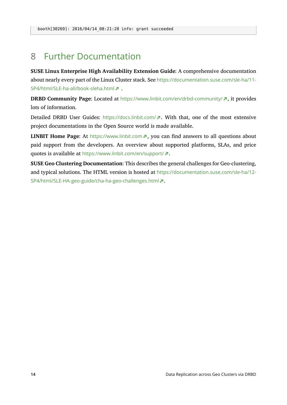## <span id="page-13-0"></span>8 Further Documentation

**SUSE Linux Enterprise High Availability Extension Guide**: A comprehensive documentation about nearly every part of the Linux Cluster stack. See [https://documentation.suse.com/sle-ha/11-](https://documentation.suse.com/sle-ha/11-SP4/html/SLE-ha-all/book-sleha.html) [SP4/html/SLE-ha-all/book-sleha.html](https://documentation.suse.com/sle-ha/11-SP4/html/SLE-ha-all/book-sleha.html)

**DRBD Community Page:** Located at <https://www.linbit.com/en/drbd-community/>  $\vec{r}$ , it provides lots of information.

Detailed DRBD User Guides: <https://docs.linbit.com/> . With that, one of the most extensive project documentations in the Open Source world is made available.

**LINBIT Home Page:** At <https://www.linbit.com> **7**, you can find answers to all questions about paid support from the developers. An overview about supported platforms, SLAs, and price quotes is available at <https://www.linbit.com/en/support/> **7.** 

**SUSE Geo Clustering Documentation**: This describes the general challenges for Geo-clustering, and typical solutions. The HTML version is hosted at [https://documentation.suse.com/sle-ha/12-](https://documentation.suse.com/sle-ha/12-SP4/html/SLE-HA-geo-guide/cha-ha-geo-challenges.html) [SP4/html/SLE-HA-geo-guide/cha-ha-geo-challenges.html](https://documentation.suse.com/sle-ha/12-SP4/html/SLE-HA-geo-guide/cha-ha-geo-challenges.html) .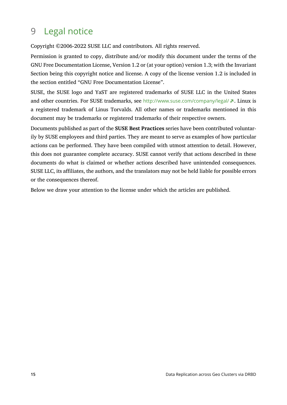# <span id="page-14-0"></span>9 Legal notice

Copyright ©2006-2022 SUSE LLC and contributors. All rights reserved.

Permission is granted to copy, distribute and/or modify this document under the terms of the GNU Free Documentation License, Version 1.2 or (at your option) version 1.3; with the Invariant Section being this copyright notice and license. A copy of the license version 1.2 is included in the section entitled "GNU Free Documentation License".

SUSE, the SUSE logo and YaST are registered trademarks of SUSE LLC in the United States and other countries. For SUSE trademarks, see <http://www.suse.com/company/legal/> a. Linux is a registered trademark of Linus Torvalds. All other names or trademarks mentioned in this document may be trademarks or registered trademarks of their respective owners.

Documents published as part of the **SUSE Best Practices** series have been contributed voluntarily by SUSE employees and third parties. They are meant to serve as examples of how particular actions can be performed. They have been compiled with utmost attention to detail. However, this does not guarantee complete accuracy. SUSE cannot verify that actions described in these documents do what is claimed or whether actions described have unintended consequences. SUSE LLC, its affiliates, the authors, and the translators may not be held liable for possible errors or the consequences thereof.

Below we draw your attention to the license under which the articles are published.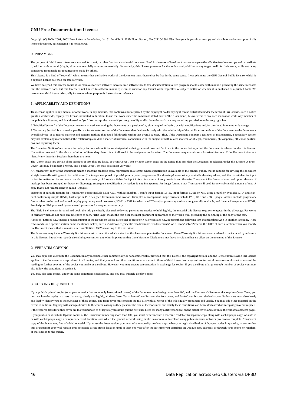#### <span id="page-15-0"></span>**GNU Free Documentation License**

Copyright (C) 2000, 2001, 2002 Free Software Foundation, Inc. 51 Franklin St, Fifth Floor, Boston, MA 02110-1301 USA. Everyone is permitted to copy and distribute verbatim copies of this license document, but changing it is not allowed.

#### 0. PREAMBLE

The purpose of this License is to make a manual, textbook, or other functional and useful document "free" in the sense of freedom: to assure everyone the effective freedom to copy and redistribute it, with or without modifying it, either commercially or non-commercially. Secondarily, this License preserves for the author and publisher a way to get credit for their work, while not being considered responsible for modifications made by others.

This License is a kind of "copyleft", which means that derivative works of the document must themselves be free in the same sense. It complements the GNU General Public License, which is a copyleft license designed for free software.

We have designed this License to use it for manuals for free software, because free software needs free documentation: a free program should come with manuals providing the same freedoms that the software does. But this License is not limited to software manuals; it can be used for any textual work, regardless of subject matter or whether it is published as a printed book. We recommend this License principally for works whose purpose is instruction or reference.

#### 1. APPLICABILITY AND DEFINITIONS

This License applies to any manual or other work, in any medium, that contains a notice placed by the copyright holder saying it can be distributed under the terms of this License. Such a notice grants a world-wide, royalty-free license, unlimited in duration, to use that work under the conditions stated herein. The "Document", below, refers to any such manual or work. Any member of the public is a licensee, and is addressed as "you". You accept the license if you copy, modify or distribute the work in a way requiring permission under copyright law.

A "Modified Version" of the Document means any work containing the Document or a portion of it, either copied verbatim, or with modifications and/or translated into another language.

A "Secondary Section" is a named appendix or a front-matter section of the Document that deals exclusively with the relationship of the publishers or authors of the Document to the Document's overall subject (or to related matters) and contains nothing that could fall directly within that overall subject. (Thus, if the Document is in part a textbook of mathematics, a Secondary Section may not explain any mathematics.) The relationship could be a matter of historical connection with the subject or with related matters, or of legal, commercial, philosophical, ethical or political position regarding them.

The "Invariant Sections" are certain Secondary Sections whose titles are designated, as being those of Invariant Sections, in the notice that says that the Document is released under this License. If a section does not fit the above definition of Secondary then it is not allowed to be designated as Invariant. The Document may contain zero Invariant Sections. If the Document does not identify any Invariant Sections then there are none.

The "Cover Texts" are certain short passages of text that are listed, as Front-Cover Texts or Back-Cover Texts, in the notice that says that the Document is released under this License. A Front-Cover Text may be at most 5 words, and a Back-Cover Text may be at most 25 words.

A "Transparent" copy of the Document means a machine-readable copy, represented in a format whose specification is available to the general public, that is suitable for revising the document straightforwardly with generic text editors or (for images composed of pixels) generic paint programs or (for drawings) some widely available drawing editor, and that is suitable for input to text formatters or for automatic translation to a variety of formats suitable for input to text formatters. A copy made in an otherwise Transparent file format whose markup, or absence of markup, has been arranged to thwart or discourage subsequent modification by readers is not Transparent. An image format is not Transparent if used for any substantial amount of text. A copy that is not "Transparent" is called "Opaque".

Examples of suitable formats for Transparent copies include plain ASCII without markup, Texinfo input format, LaTeX input format, SGML or XML using a publicly available DTD, and standard-conforming simple HTML, PostScript or PDF designed for human modification. Examples of transparent image formats include PNG, XCF and JPG. Opaque formats include proprietary formats that can be read and edited only by proprietary word processors, SGML or XML for which the DTD and/or processing tools are not generally available, and the machine-generated HTML, PostScript or PDF produced by some word processors for output purposes only.

The "Title Page" means, for a printed book, the title page itself, plus such following pages as are needed to hold, legibly, the material this License requires to appear in the title page. For works in formats which do not have any title page as such, "Title Page" means the text near the most prominent appearance of the work's title, preceding the beginning of the body of the text.

A section "Entitled XYZ" means a named subunit of the Document whose title either is precisely XYZ or contains XYZ in parentheses following text that translates XYZ in another language. (Here XYZ stands for a specific section name mentioned below, such as "Acknowledgements", "Dedications", "Endorsements", or "History".) To "Preserve the Title" of such a section when you modify the Document means that it remains a section "Entitled XYZ" according to this definition.

The Document may include Warranty Disclaimers next to the notice which states that this License applies to the Document. These Warranty Disclaimers are considered to be included by reference in this License, but only as regards disclaiming warranties: any other implication that these Warranty Disclaimers may have is void and has no effect on the meaning of this License.

#### 2. VERBATIM COPYING

You may copy and distribute the Document in any medium, either commercially or noncommercially, provided that this License, the copyright notices, and the license notice saying this License applies to the Document are reproduced in all copies, and that you add no other conditions whatsoever to those of this License. You may not use technical measures to obstruct or control the reading or further copying of the copies you make or distribute. However, you may accept compensation in exchange for copies. If you distribute a large enough number of copies you must also follow the conditions in section 3.

You may also lend copies, under the same conditions stated above, and you may publicly display copies

#### 3. COPYING IN QUANTITY

If you publish printed copies (or copies in media that commonly have printed covers) of the Document, numbering more than 100, and the Document's license notice requires Cover Texts, you must enclose the copies in covers that carry, clearly and legibly, all these Cover Texts: Front-Cover Texts on the front cover, and Back-Cover Texts on the back cover. Both covers must also clearly and legibly identify you as the publisher of these copies. The front cover must present the full title with all words of the title equally prominent and visible. You may add other material on the covers in addition. Copying with changes limited to the covers, as long as they preserve the title of the Document and satisfy these conditions, can be treated as verbatim copying in other respects. If the required texts for either cover are too voluminous to fit legibly, you should put the first ones listed (as many as fit reasonably) on the actual cover, and continue the rest onto adjacent pages. If you publish or distribute Opaque copies of the Document numbering more than 100, you must either include a machine-readable Transparent copy along with each Opaque copy, or state in or with each Opaque copy a computer-network location from which the general network-using public has access to download using public-standard network protocols a complete Transparent copy of the Document, free of added material. If you use the latter option, you must take reasonably prudent steps, when you begin distribution of Opaque copies in quantity, to ensure that this Transparent copy will remain thus accessible at the stated location until at least one year after the last time you distribute an Opaque copy (directly or through your agents or retailers) of that edition to the public.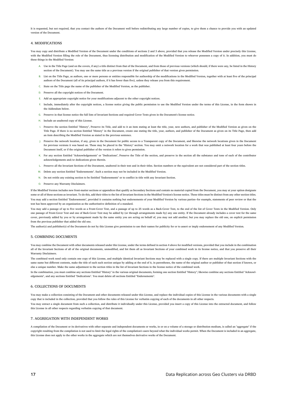It is requested, but not required, that you contact the authors of the Document well before redistributing any large number of copies, to give them a chance to provide you with an updated version of the Document.

#### 4. MODIFICATIONS

You may copy and distribute a Modified Version of the Document under the conditions of sections 2 and 3 above, provided that you release the Modified Version under precisely this License, with the Modified Version filling the role of the Document, thus licensing distribution and modification of the Modified Version to whoever possesses a copy of it. In addition, you must do these things in the Modified Version:

- **A.** Use in the Title Page (and on the covers, if any) a title distinct from that of the Document, and from those of previous versions (which should, if there were any, be listed in the History section of the Document). You may use the same title as a previous version if the original publisher of that version gives permission.
- **B.** List on the Title Page, as authors, one or more persons or entities responsible for authorship of the modifications in the Modified Version, together with at least five of the principal authors of the Document (all of its principal authors, if it has fewer than five), unless they release you from this requirement.
- **C.** State on the Title page the name of the publisher of the Modified Version, as the publisher.
- **D.** Preserve all the copyright notices of the Document.
- **E.** Add an appropriate copyright notice for your modifications adjacent to the other copyright notices.
- **F.** Include, immediately after the copyright notices, a license notice giving the public permission to use the Modified Version under the terms of this License, in the form shown in the Addendum below.
- **G.** Preserve in that license notice the full lists of Invariant Sections and required Cover Texts given in the Document's license notice.
- **H.** Include an unaltered copy of this License.
- 1. Preserve the section Entitled "History", Preserve its Title, and add to it an item stating at least the title, year, new authors, and publisher of the Modified Version as given on the Title Page. If there is no section Entitled "History" in the Document, create one stating the title, year, authors, and publisher of the Document as given on its Title Page, then add an item describing the Modified Version as stated in the previous sentence.
- **J.** Preserve the network location, if any, given in the Document for public access to a Transparent copy of the Document, and likewise the network locations given in the Document for previous versions it was based on. These may be placed in the "History" section. You may omit a network location for a work that was published at least four years before the Document itself, or if the original publisher of the version it refers to gives permission.
- **K.** For any section Entitled "Acknowledgements" or "Dedications", Preserve the Title of the section, and preserve in the section all the substance and tone of each of the contributor acknowledgements and/or dedications given therein.
- **L.** Preserve all the Invariant Sections of the Document, unaltered in their text and in their titles. Section numbers or the equivalent are not considered part of the section titles.
- **M.** Delete any section Entitled "Endorsements". Such a section may not be included in the Modified Version.
- **N.** Do not retitle any existing section to be Entitled "Endorsements" or to conflict in title with any Invariant Section.
- **O.** Preserve any Warranty Disclaimers.

If the Modified Version includes new front-matter sections or appendices that qualify as Secondary Sections and contain no material copied from the Document, you may at your option designate some or all of these sections as invariant. To do this, add their titles to the list of Invariant Sections in the Modified Version's license notice. These titles must be distinct from any other section titles. You may add a section Entitled "Endorsements", provided it contains nothing but endorsements of your Modified Version by various parties--for example, statements of peer review or that the text has been approved by an organization as the authoritative definition of a standard.

You may add a passage of up to five words as a Front-Cover Text, and a passage of up to 25 words as a Back-Cover Text, to the end of the list of Cover Texts in the Modified Version. Only one passage of Front-Cover Text and one of Back-Cover Text may be added by (or through arrangements made by) any one entity. If the Document already includes a cover text for the same cover, previously added by you or by arrangement made by the same entity you are acting on behalf of, you may not add another; but you may replace the old one, on explicit permission from the previous publisher that added the old one.

The author(s) and publisher(s) of the Document do not by this License give permission to use their names for publicity for or to assert or imply endorsement of any Modified Version.

#### 5. COMBINING DOCUMENTS

You may combine the Document with other documents released under this License, under the terms defined in section 4 above for modified versions, provided that you include in the combination all of the Invariant Sections of all of the original documents, unmodified, and list them all as Invariant Sections of your combined work in its license notice, and that you preserve all their Warranty Disclaimers.

The combined work need only contain one copy of this License, and multiple identical Invariant Sections may be replaced with a single copy. If there are multiple Invariant Sections with the same name but different contents, make the title of each such section unique by adding at the end of it, in parentheses, the name of the original author or publisher of that section if known, or else a unique number. Make the same adjustment to the section titles in the list of Invariant Sections in the license notice of the combined work.

In the combination, you must combine any sections Entitled "History" in the various original documents, forming one section Entitled "History"; likewise combine any sections Entitled "Acknowledgements", and any sections Entitled "Dedications". You must delete all sections Entitled "Endorsements".

#### 6. COLLECTIONS OF DOCUMENTS

You may make a collection consisting of the Document and other documents released under this License, and replace the individual copies of this License in the various documents with a single copy that is included in the collection, provided that you follow the rules of this License for verbatim copying of each of the documents in all other respects.

You may extract a single document from such a collection, and distribute it individually under this License, provided you insert a copy of this License into the extracted document, and follow this License in all other respects regarding verbatim copying of that document.

#### 7. AGGREGATION WITH INDEPENDENT WORKS

A compilation of the Document or its derivatives with other separate and independent documents or works, in or on a volume of a storage or distribution medium, is called an "aggregate" if the copyright resulting from the compilation is not used to limit the legal rights of the compilation's users beyond what the individual works permit. When the Document is included in an aggregate, this License does not apply to the other works in the aggregate which are not themselves derivative works of the Document.